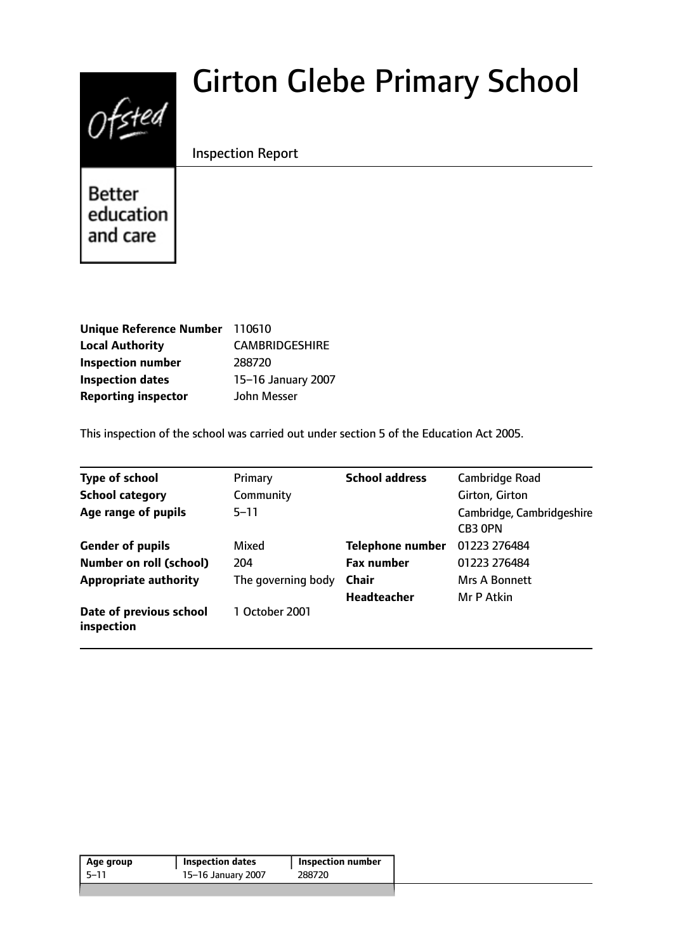# $0$ fsted

# Girton Glebe Primary School

# Inspection Report

Better education and care

| Unique Reference Number 110610 |                       |
|--------------------------------|-----------------------|
| <b>Local Authority</b>         | <b>CAMBRIDGESHIRE</b> |
| <b>Inspection number</b>       | 288720                |
| <b>Inspection dates</b>        | 15-16 January 2007    |
| <b>Reporting inspector</b>     | John Messer           |

This inspection of the school was carried out under section 5 of the Education Act 2005.

| <b>Type of school</b>                 | Primary            | <b>School address</b>   | Cambridge Road                       |
|---------------------------------------|--------------------|-------------------------|--------------------------------------|
| <b>School category</b>                | Community          |                         | Girton, Girton                       |
| Age range of pupils                   | $5 - 11$           |                         | Cambridge, Cambridgeshire<br>CB3 OPN |
| <b>Gender of pupils</b>               | Mixed              | <b>Telephone number</b> | 01223 276484                         |
| <b>Number on roll (school)</b>        | 204                | <b>Fax number</b>       | 01223 276484                         |
| <b>Appropriate authority</b>          | The governing body | <b>Chair</b>            | <b>Mrs A Bonnett</b>                 |
|                                       |                    | <b>Headteacher</b>      | Mr P Atkin                           |
| Date of previous school<br>inspection | 1 October 2001     |                         |                                      |

|       | <b>Inspection dates</b> | Inspection number |
|-------|-------------------------|-------------------|
| -5–11 | 15-16 January 2007      | 288720            |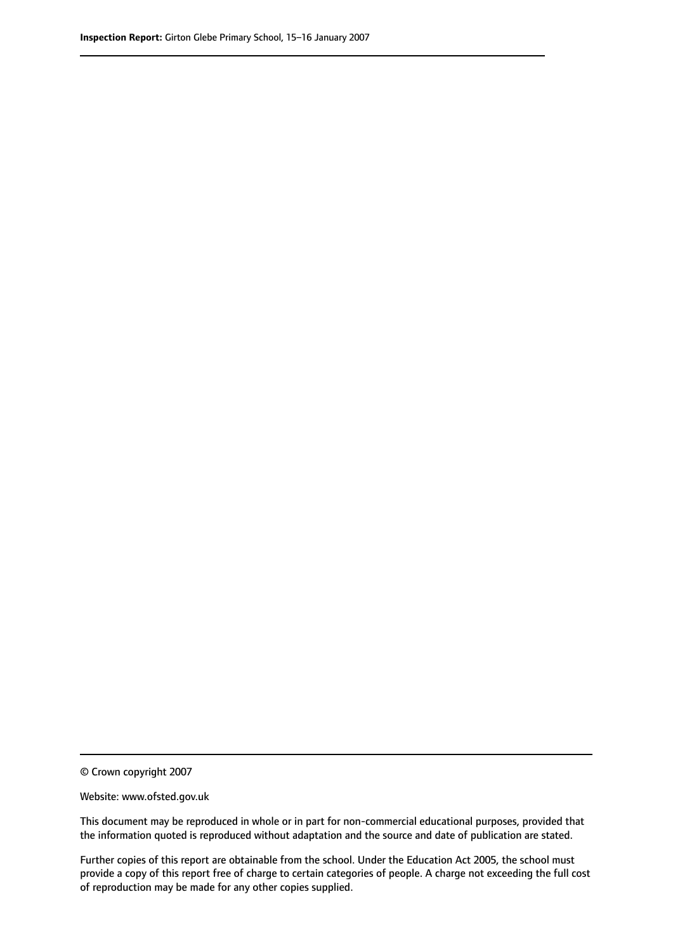© Crown copyright 2007

Website: www.ofsted.gov.uk

This document may be reproduced in whole or in part for non-commercial educational purposes, provided that the information quoted is reproduced without adaptation and the source and date of publication are stated.

Further copies of this report are obtainable from the school. Under the Education Act 2005, the school must provide a copy of this report free of charge to certain categories of people. A charge not exceeding the full cost of reproduction may be made for any other copies supplied.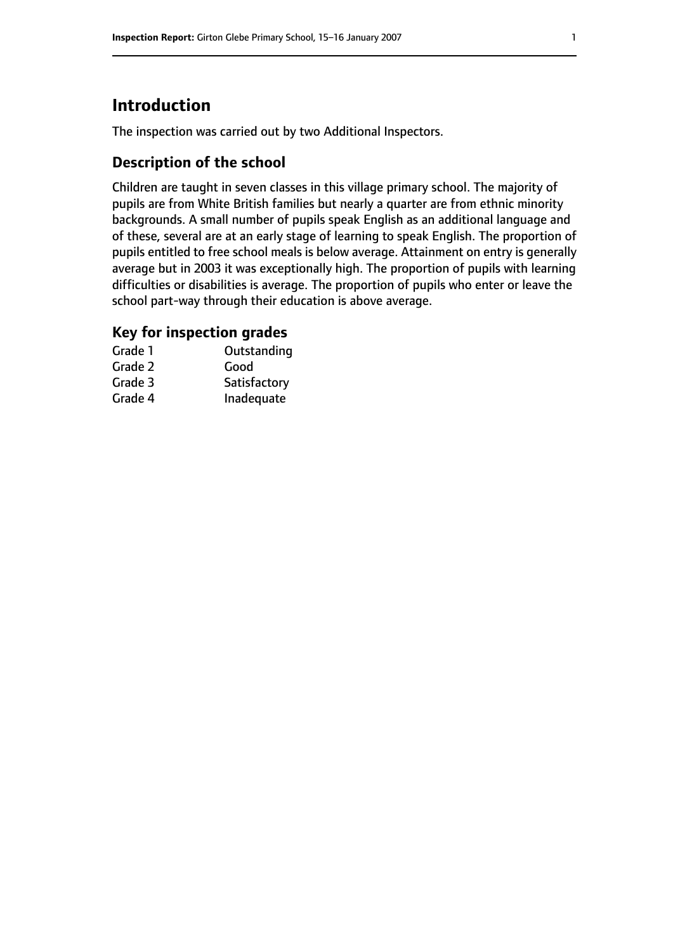# **Introduction**

The inspection was carried out by two Additional Inspectors.

### **Description of the school**

Children are taught in seven classes in this village primary school. The majority of pupils are from White British families but nearly a quarter are from ethnic minority backgrounds. A small number of pupils speak English as an additional language and of these, several are at an early stage of learning to speak English. The proportion of pupils entitled to free school meals is below average. Attainment on entry is generally average but in 2003 it was exceptionally high. The proportion of pupils with learning difficulties or disabilities is average. The proportion of pupils who enter or leave the school part-way through their education is above average.

#### **Key for inspection grades**

| Grade 1 | Outstanding  |
|---------|--------------|
| Grade 2 | Good         |
| Grade 3 | Satisfactory |
| Grade 4 | Inadequate   |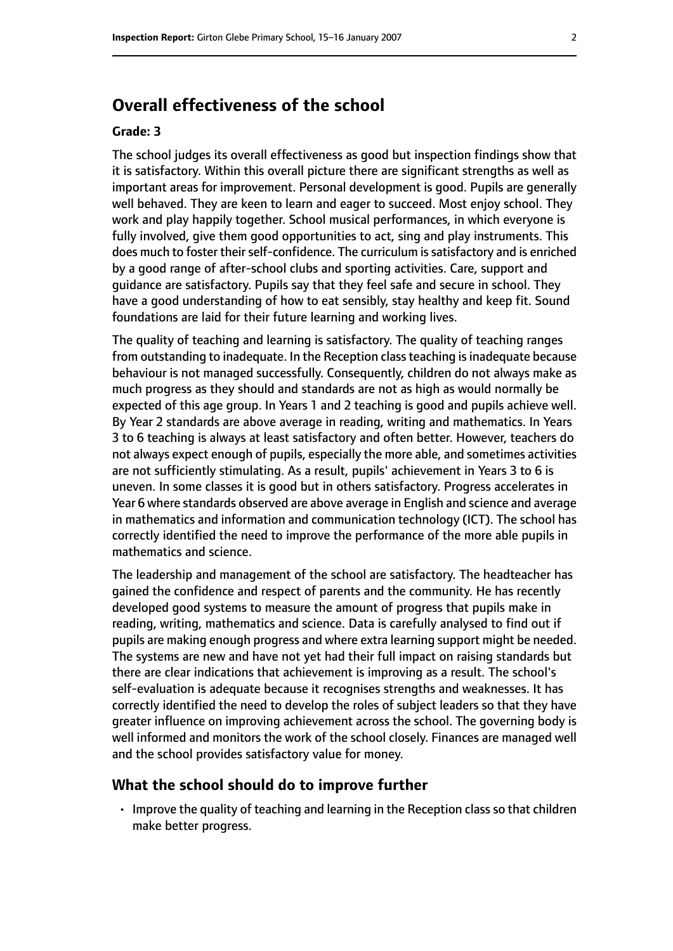# **Overall effectiveness of the school**

#### **Grade: 3**

The school judges its overall effectiveness as good but inspection findings show that it is satisfactory. Within this overall picture there are significant strengths as well as important areas for improvement. Personal development is good. Pupils are generally well behaved. They are keen to learn and eager to succeed. Most enjoy school. They work and play happily together. School musical performances, in which everyone is fully involved, give them good opportunities to act, sing and play instruments. This does much to foster their self-confidence. The curriculum is satisfactory and is enriched by a good range of after-school clubs and sporting activities. Care, support and guidance are satisfactory. Pupils say that they feel safe and secure in school. They have a good understanding of how to eat sensibly, stay healthy and keep fit. Sound foundations are laid for their future learning and working lives.

The quality of teaching and learning is satisfactory. The quality of teaching ranges from outstanding to inadequate. In the Reception class teaching is inadequate because behaviour is not managed successfully. Consequently, children do not always make as much progress as they should and standards are not as high as would normally be expected of this age group. In Years 1 and 2 teaching is good and pupils achieve well. By Year 2 standards are above average in reading, writing and mathematics. In Years 3 to 6 teaching is always at least satisfactory and often better. However, teachers do not always expect enough of pupils, especially the more able, and sometimes activities are not sufficiently stimulating. As a result, pupils' achievement in Years 3 to 6 is uneven. In some classes it is good but in others satisfactory. Progress accelerates in Year 6 where standards observed are above average in English and science and average in mathematics and information and communication technology (ICT). The school has correctly identified the need to improve the performance of the more able pupils in mathematics and science.

The leadership and management of the school are satisfactory. The headteacher has gained the confidence and respect of parents and the community. He has recently developed good systems to measure the amount of progress that pupils make in reading, writing, mathematics and science. Data is carefully analysed to find out if pupils are making enough progress and where extra learning support might be needed. The systems are new and have not yet had their full impact on raising standards but there are clear indications that achievement is improving as a result. The school's self-evaluation is adequate because it recognises strengths and weaknesses. It has correctly identified the need to develop the roles of subject leaders so that they have greater influence on improving achievement across the school. The governing body is well informed and monitors the work of the school closely. Finances are managed well and the school provides satisfactory value for money.

#### **What the school should do to improve further**

• Improve the quality of teaching and learning in the Reception class so that children make better progress.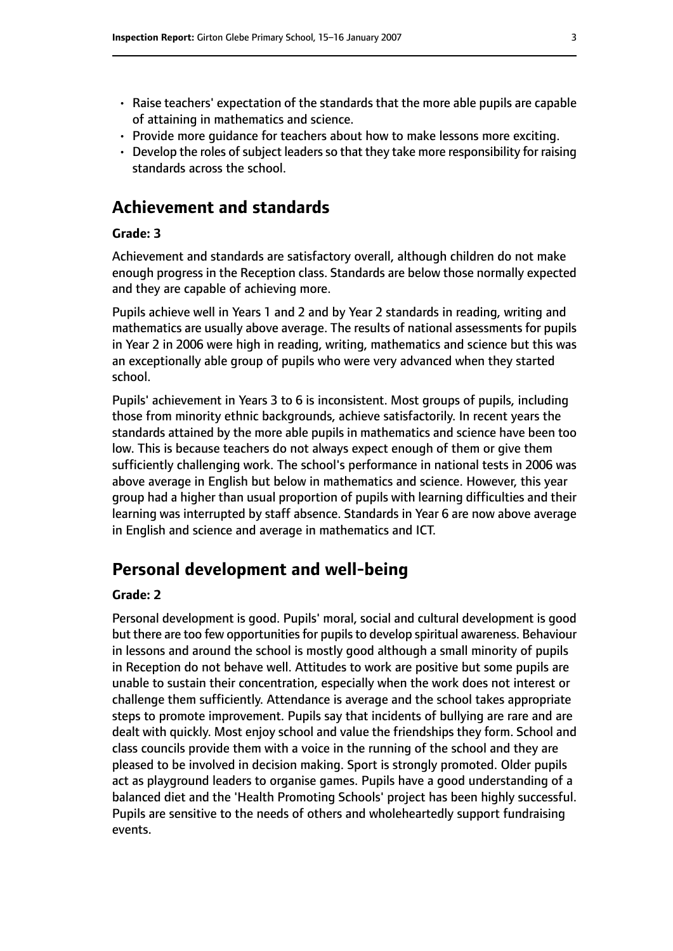- Raise teachers' expectation of the standards that the more able pupils are capable of attaining in mathematics and science.
- Provide more guidance for teachers about how to make lessons more exciting.
- $\cdot$  Develop the roles of subject leaders so that they take more responsibility for raising standards across the school.

# **Achievement and standards**

#### **Grade: 3**

Achievement and standards are satisfactory overall, although children do not make enough progress in the Reception class. Standards are below those normally expected and they are capable of achieving more.

Pupils achieve well in Years 1 and 2 and by Year 2 standards in reading, writing and mathematics are usually above average. The results of national assessments for pupils in Year 2 in 2006 were high in reading, writing, mathematics and science but this was an exceptionally able group of pupils who were very advanced when they started school.

Pupils' achievement in Years 3 to 6 is inconsistent. Most groups of pupils, including those from minority ethnic backgrounds, achieve satisfactorily. In recent years the standards attained by the more able pupils in mathematics and science have been too low. This is because teachers do not always expect enough of them or give them sufficiently challenging work. The school's performance in national tests in 2006 was above average in English but below in mathematics and science. However, this year group had a higher than usual proportion of pupils with learning difficulties and their learning was interrupted by staff absence. Standards in Year 6 are now above average in English and science and average in mathematics and ICT.

# **Personal development and well-being**

#### **Grade: 2**

Personal development is good. Pupils' moral, social and cultural development is good but there are too few opportunities for pupils to develop spiritual awareness. Behaviour in lessons and around the school is mostly good although a small minority of pupils in Reception do not behave well. Attitudes to work are positive but some pupils are unable to sustain their concentration, especially when the work does not interest or challenge them sufficiently. Attendance is average and the school takes appropriate steps to promote improvement. Pupils say that incidents of bullying are rare and are dealt with quickly. Most enjoy school and value the friendships they form. School and class councils provide them with a voice in the running of the school and they are pleased to be involved in decision making. Sport is strongly promoted. Older pupils act as playground leaders to organise games. Pupils have a good understanding of a balanced diet and the 'Health Promoting Schools' project has been highly successful. Pupils are sensitive to the needs of others and wholeheartedly support fundraising events.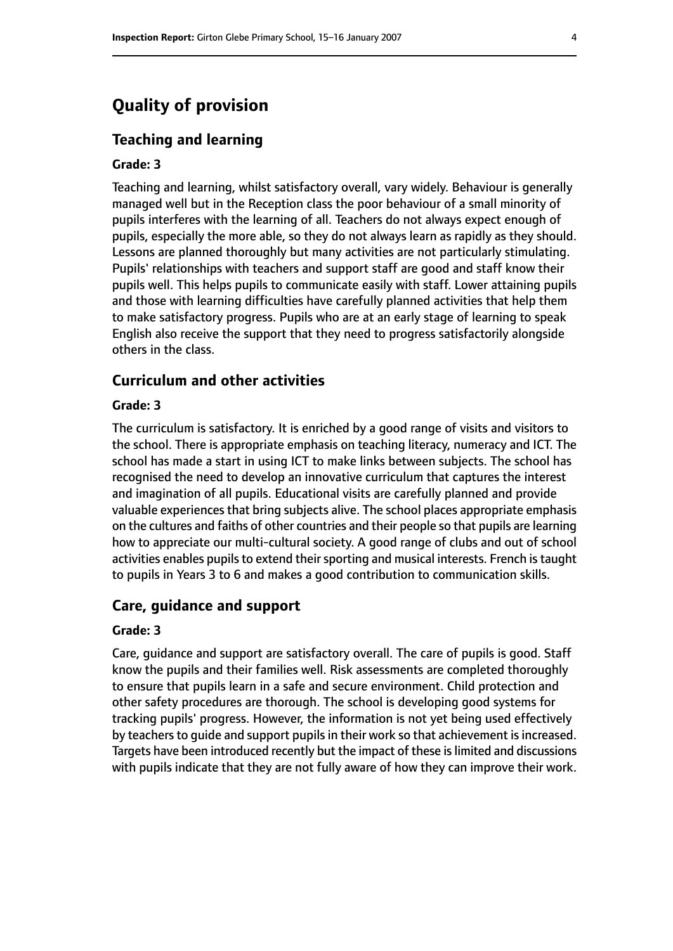# **Quality of provision**

#### **Teaching and learning**

#### **Grade: 3**

Teaching and learning, whilst satisfactory overall, vary widely. Behaviour is generally managed well but in the Reception class the poor behaviour of a small minority of pupils interferes with the learning of all. Teachers do not always expect enough of pupils, especially the more able, so they do not always learn as rapidly as they should. Lessons are planned thoroughly but many activities are not particularly stimulating. Pupils' relationships with teachers and support staff are good and staff know their pupils well. This helps pupils to communicate easily with staff. Lower attaining pupils and those with learning difficulties have carefully planned activities that help them to make satisfactory progress. Pupils who are at an early stage of learning to speak English also receive the support that they need to progress satisfactorily alongside others in the class.

#### **Curriculum and other activities**

#### **Grade: 3**

The curriculum is satisfactory. It is enriched by a good range of visits and visitors to the school. There is appropriate emphasis on teaching literacy, numeracy and ICT. The school has made a start in using ICT to make links between subjects. The school has recognised the need to develop an innovative curriculum that captures the interest and imagination of all pupils. Educational visits are carefully planned and provide valuable experiences that bring subjects alive. The school places appropriate emphasis on the cultures and faiths of other countries and their people so that pupils are learning how to appreciate our multi-cultural society. A good range of clubs and out of school activities enables pupils to extend their sporting and musical interests. French is taught to pupils in Years 3 to 6 and makes a good contribution to communication skills.

#### **Care, guidance and support**

#### **Grade: 3**

Care, guidance and support are satisfactory overall. The care of pupils is good. Staff know the pupils and their families well. Risk assessments are completed thoroughly to ensure that pupils learn in a safe and secure environment. Child protection and other safety procedures are thorough. The school is developing good systems for tracking pupils' progress. However, the information is not yet being used effectively by teachers to quide and support pupils in their work so that achievement is increased. Targets have been introduced recently but the impact of these islimited and discussions with pupils indicate that they are not fully aware of how they can improve their work.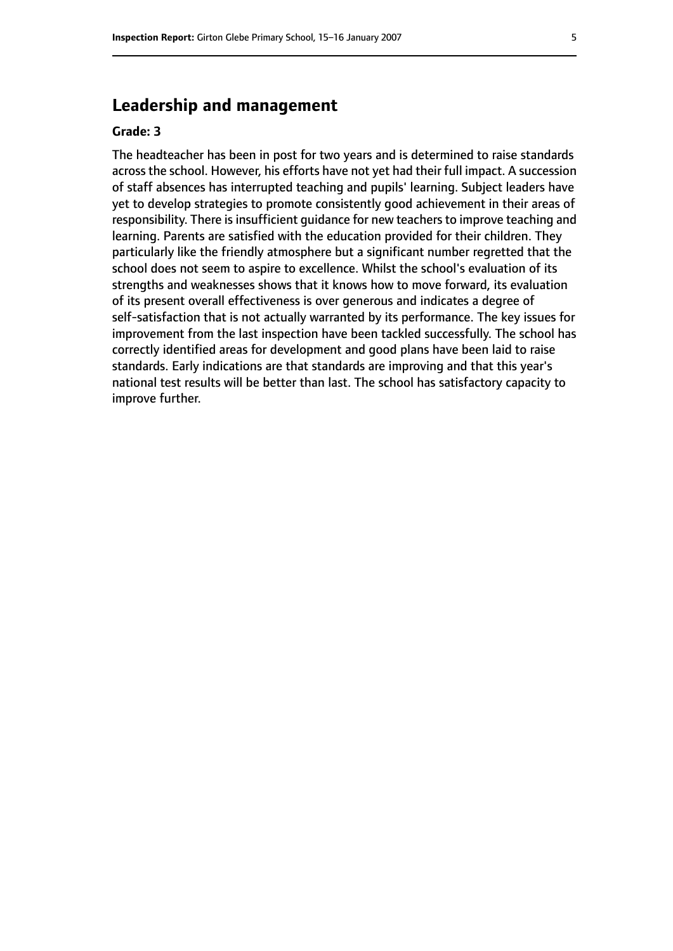# **Leadership and management**

#### **Grade: 3**

The headteacher has been in post for two years and is determined to raise standards across the school. However, his efforts have not yet had their full impact. A succession of staff absences has interrupted teaching and pupils' learning. Subject leaders have yet to develop strategies to promote consistently good achievement in their areas of responsibility. There is insufficient guidance for new teachers to improve teaching and learning. Parents are satisfied with the education provided for their children. They particularly like the friendly atmosphere but a significant number regretted that the school does not seem to aspire to excellence. Whilst the school's evaluation of its strengths and weaknesses shows that it knows how to move forward, its evaluation of its present overall effectiveness is over generous and indicates a degree of self-satisfaction that is not actually warranted by its performance. The key issues for improvement from the last inspection have been tackled successfully. The school has correctly identified areas for development and good plans have been laid to raise standards. Early indications are that standards are improving and that this year's national test results will be better than last. The school has satisfactory capacity to improve further.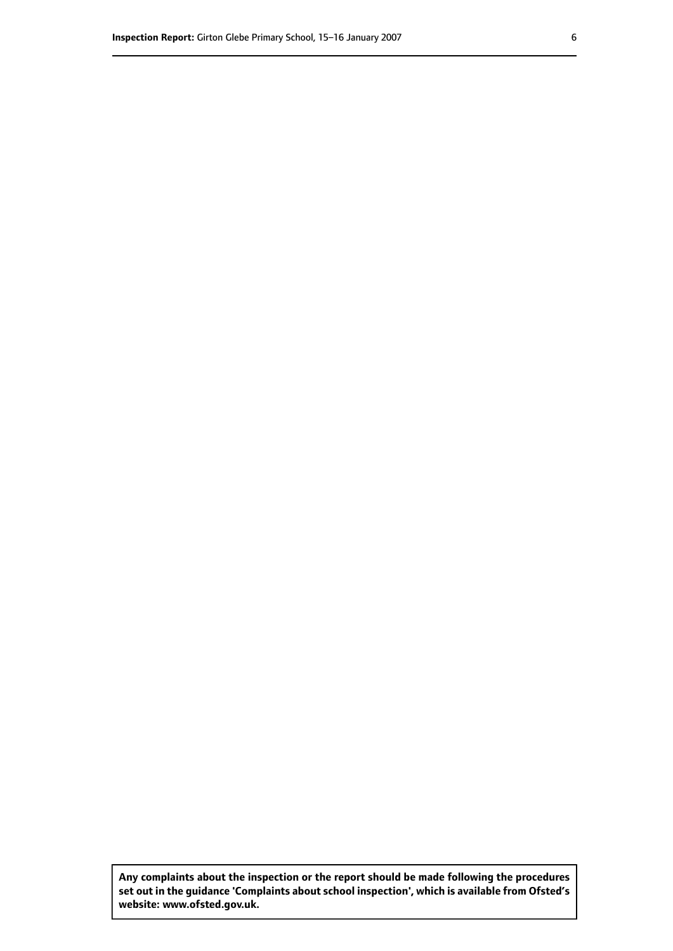**Any complaints about the inspection or the report should be made following the procedures set out inthe guidance 'Complaints about school inspection', whichis available from Ofsted's website: www.ofsted.gov.uk.**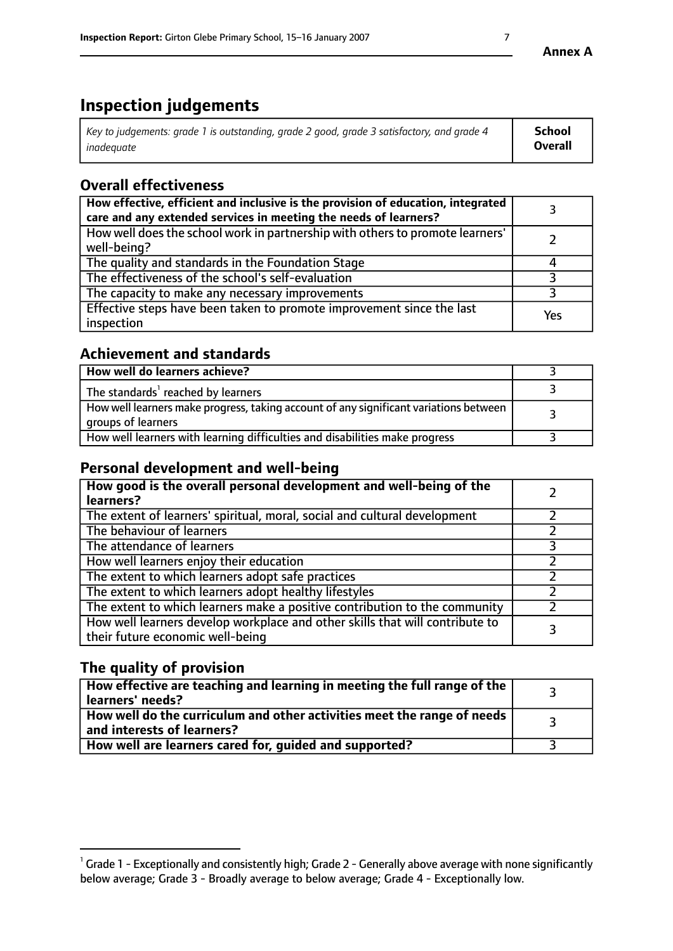# **Inspection judgements**

| Key to judgements: grade 1 is outstanding, grade 2 good, grade 3 satisfactory, and grade 4 | <b>School</b>  |
|--------------------------------------------------------------------------------------------|----------------|
| inadeauate                                                                                 | <b>Overall</b> |

# **Overall effectiveness**

| How effective, efficient and inclusive is the provision of education, integrated<br>care and any extended services in meeting the needs of learners? |     |
|------------------------------------------------------------------------------------------------------------------------------------------------------|-----|
| How well does the school work in partnership with others to promote learners'<br>well-being?                                                         |     |
| The quality and standards in the Foundation Stage                                                                                                    |     |
| The effectiveness of the school's self-evaluation                                                                                                    |     |
| The capacity to make any necessary improvements                                                                                                      |     |
| Effective steps have been taken to promote improvement since the last<br>inspection                                                                  | Yes |

## **Achievement and standards**

| How well do learners achieve?                                                                               |  |
|-------------------------------------------------------------------------------------------------------------|--|
| The standards <sup>1</sup> reached by learners                                                              |  |
| How well learners make progress, taking account of any significant variations between<br>groups of learners |  |
| How well learners with learning difficulties and disabilities make progress                                 |  |

# **Personal development and well-being**

| How good is the overall personal development and well-being of the<br>learners?                                  |  |
|------------------------------------------------------------------------------------------------------------------|--|
| The extent of learners' spiritual, moral, social and cultural development                                        |  |
| The behaviour of learners                                                                                        |  |
| The attendance of learners                                                                                       |  |
| How well learners enjoy their education                                                                          |  |
| The extent to which learners adopt safe practices                                                                |  |
| The extent to which learners adopt healthy lifestyles                                                            |  |
| The extent to which learners make a positive contribution to the community                                       |  |
| How well learners develop workplace and other skills that will contribute to<br>their future economic well-being |  |

# **The quality of provision**

| How effective are teaching and learning in meeting the full range of the<br>  learners' needs?               |  |
|--------------------------------------------------------------------------------------------------------------|--|
| How well do the curriculum and other activities meet the range of needs<br>$\mid$ and interests of learners? |  |
| How well are learners cared for, quided and supported?                                                       |  |

 $^1$  Grade 1 - Exceptionally and consistently high; Grade 2 - Generally above average with none significantly below average; Grade 3 - Broadly average to below average; Grade 4 - Exceptionally low.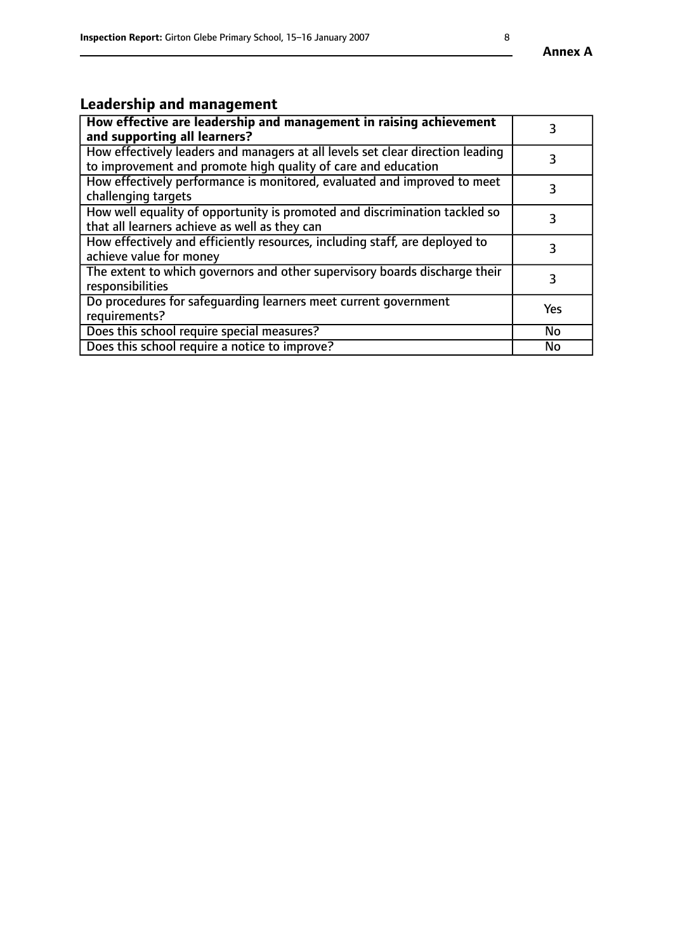# **Leadership and management**

| How effective are leadership and management in raising achievement<br>and supporting all learners?                                              |           |
|-------------------------------------------------------------------------------------------------------------------------------------------------|-----------|
| How effectively leaders and managers at all levels set clear direction leading<br>to improvement and promote high quality of care and education |           |
| How effectively performance is monitored, evaluated and improved to meet<br>challenging targets                                                 | 3         |
| How well equality of opportunity is promoted and discrimination tackled so<br>that all learners achieve as well as they can                     |           |
| How effectively and efficiently resources, including staff, are deployed to<br>achieve value for money                                          | 3         |
| The extent to which governors and other supervisory boards discharge their<br>responsibilities                                                  | 3         |
| Do procedures for safequarding learners meet current government<br>requirements?                                                                | Yes       |
| Does this school require special measures?                                                                                                      | No        |
| Does this school require a notice to improve?                                                                                                   | <b>No</b> |